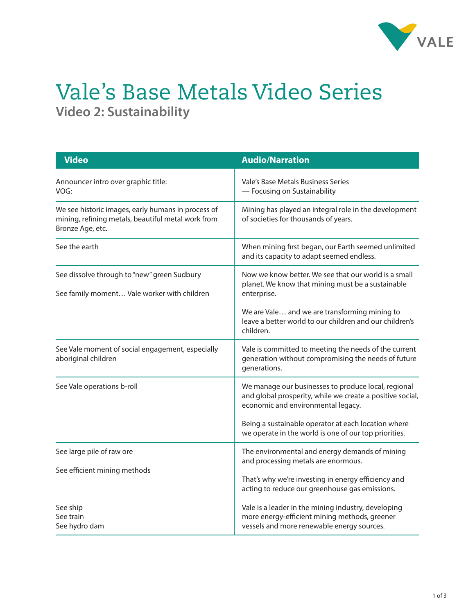

## Vale's Base Metals Video Series **Video 2: Sustainability**

| <b>Video</b>                                                                                                                 | <b>Audio/Narration</b>                                                                                                                                                                                                                            |
|------------------------------------------------------------------------------------------------------------------------------|---------------------------------------------------------------------------------------------------------------------------------------------------------------------------------------------------------------------------------------------------|
| Announcer intro over graphic title:<br>VOG:                                                                                  | Vale's Base Metals Business Series<br>- Focusing on Sustainability                                                                                                                                                                                |
| We see historic images, early humans in process of<br>mining, refining metals, beautiful metal work from<br>Bronze Age, etc. | Mining has played an integral role in the development<br>of societies for thousands of years.                                                                                                                                                     |
| See the earth                                                                                                                | When mining first began, our Earth seemed unlimited<br>and its capacity to adapt seemed endless.                                                                                                                                                  |
| See dissolve through to "new" green Sudbury<br>See family moment Vale worker with children                                   | Now we know better. We see that our world is a small<br>planet. We know that mining must be a sustainable<br>enterprise.<br>We are Vale and we are transforming mining to<br>leave a better world to our children and our children's<br>children. |
| See Vale moment of social engagement, especially<br>aboriginal children                                                      | Vale is committed to meeting the needs of the current<br>generation without compromising the needs of future<br>generations.                                                                                                                      |
| See Vale operations b-roll                                                                                                   | We manage our businesses to produce local, regional<br>and global prosperity, while we create a positive social,<br>economic and environmental legacy.<br>Being a sustainable operator at each location where                                     |
|                                                                                                                              | we operate in the world is one of our top priorities.                                                                                                                                                                                             |
| See large pile of raw ore                                                                                                    | The environmental and energy demands of mining<br>and processing metals are enormous.                                                                                                                                                             |
| See efficient mining methods                                                                                                 | That's why we're investing in energy efficiency and<br>acting to reduce our greenhouse gas emissions.                                                                                                                                             |
| See ship<br>See train<br>See hydro dam                                                                                       | Vale is a leader in the mining industry, developing<br>more energy-efficient mining methods, greener<br>vessels and more renewable energy sources.                                                                                                |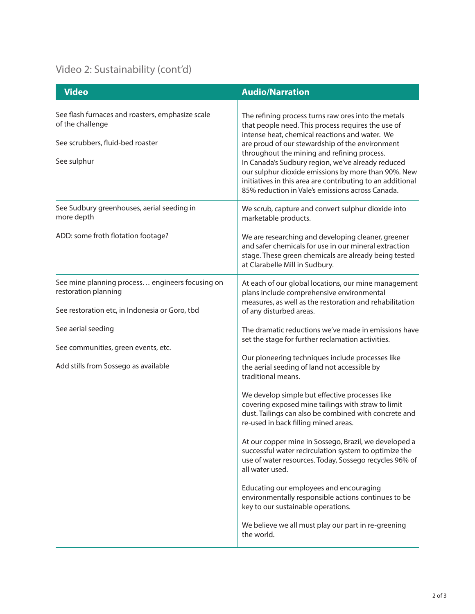## Video 2: Sustainability (cont'd)

| <b>Video</b>                                                                                                              | <b>Audio/Narration</b>                                                                                                                                                                                                                                                                                                                                                                                                                                                                      |
|---------------------------------------------------------------------------------------------------------------------------|---------------------------------------------------------------------------------------------------------------------------------------------------------------------------------------------------------------------------------------------------------------------------------------------------------------------------------------------------------------------------------------------------------------------------------------------------------------------------------------------|
| See flash furnaces and roasters, emphasize scale<br>of the challenge<br>See scrubbers, fluid-bed roaster<br>See sulphur   | The refining process turns raw ores into the metals<br>that people need. This process requires the use of<br>intense heat, chemical reactions and water. We<br>are proud of our stewardship of the environment<br>throughout the mining and refining process.<br>In Canada's Sudbury region, we've already reduced<br>our sulphur dioxide emissions by more than 90%. New<br>initiatives in this area are contributing to an additional<br>85% reduction in Vale's emissions across Canada. |
| See Sudbury greenhouses, aerial seeding in<br>more depth                                                                  | We scrub, capture and convert sulphur dioxide into<br>marketable products.                                                                                                                                                                                                                                                                                                                                                                                                                  |
| ADD: some froth flotation footage?                                                                                        | We are researching and developing cleaner, greener<br>and safer chemicals for use in our mineral extraction<br>stage. These green chemicals are already being tested<br>at Clarabelle Mill in Sudbury.                                                                                                                                                                                                                                                                                      |
| See mine planning process engineers focusing on<br>restoration planning<br>See restoration etc, in Indonesia or Goro, tbd | At each of our global locations, our mine management<br>plans include comprehensive environmental<br>measures, as well as the restoration and rehabilitation<br>of any disturbed areas.                                                                                                                                                                                                                                                                                                     |
| See aerial seeding<br>See communities, green events, etc.<br>Add stills from Sossego as available                         | The dramatic reductions we've made in emissions have<br>set the stage for further reclamation activities.<br>Our pioneering techniques include processes like<br>the aerial seeding of land not accessible by                                                                                                                                                                                                                                                                               |
|                                                                                                                           | traditional means.<br>We develop simple but effective processes like<br>covering exposed mine tailings with straw to limit<br>dust. Tailings can also be combined with concrete and<br>re-used in back filling mined areas.                                                                                                                                                                                                                                                                 |
|                                                                                                                           | At our copper mine in Sossego, Brazil, we developed a<br>successful water recirculation system to optimize the<br>use of water resources. Today, Sossego recycles 96% of<br>all water used.                                                                                                                                                                                                                                                                                                 |
|                                                                                                                           | Educating our employees and encouraging<br>environmentally responsible actions continues to be<br>key to our sustainable operations.                                                                                                                                                                                                                                                                                                                                                        |
|                                                                                                                           | We believe we all must play our part in re-greening<br>the world.                                                                                                                                                                                                                                                                                                                                                                                                                           |